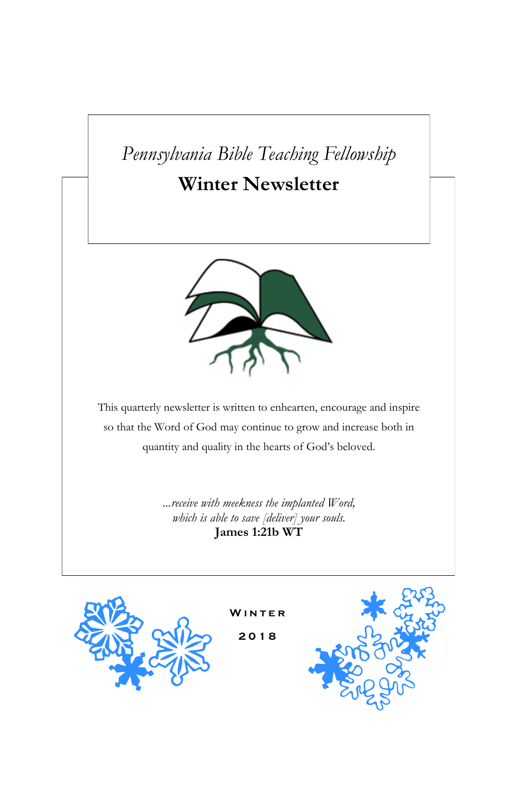# *Pennsylvania Bible Teaching Fellowship*

## **Winter Newsletter**



This quarterly newsletter is written to enhearten, encourage and inspire so that the Word of God may continue to grow and increase both in quantity and quality in the hearts of God's beloved.

> *...receive with meekness the implanted Word, which is able to save [deliver] your souls.* **James 1:21b WT**



**W i n t e r**

**2 0 1 8**

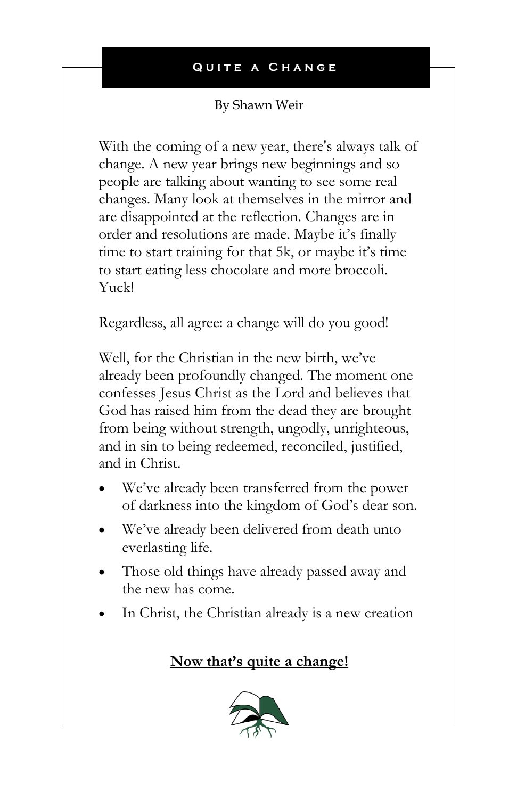## By Shawn Weir

With the coming of a new year, there's always talk of change. A new year brings new beginnings and so people are talking about wanting to see some real changes. Many look at themselves in the mirror and are disappointed at the reflection. Changes are in order and resolutions are made. Maybe it's finally time to start training for that 5k, or maybe it's time to start eating less chocolate and more broccoli. Yuck!

Regardless, all agree: a change will do you good!

Well, for the Christian in the new birth, we've already been profoundly changed. The moment one confesses Jesus Christ as the Lord and believes that God has raised him from the dead they are brought from being without strength, ungodly, unrighteous, and in sin to being redeemed, reconciled, justified, and in Christ.

- We've already been transferred from the power of darkness into the kingdom of God's dear son.
- We've already been delivered from death unto everlasting life.
- Those old things have already passed away and the new has come.
- In Christ, the Christian already is a new creation

## **Now that's quite a change!**

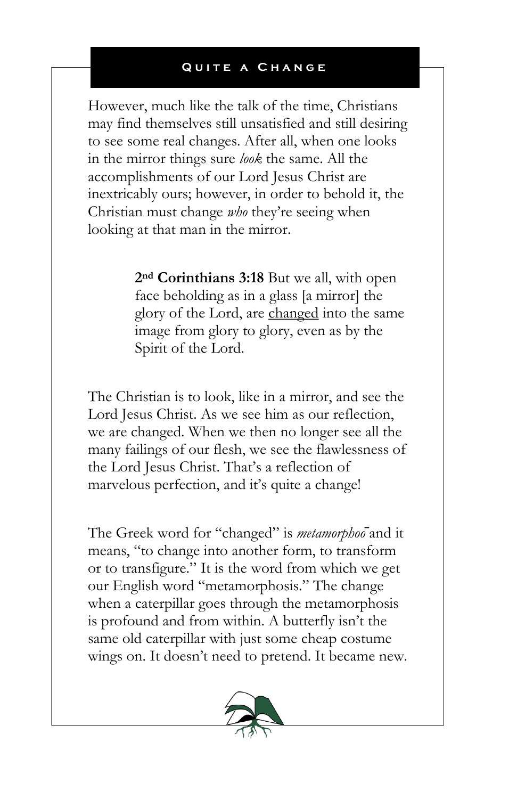However, much like the talk of the time, Christians may find themselves still unsatisfied and still desiring to see some real changes. After all, when one looks in the mirror things sure *look* the same. All the accomplishments of our Lord Jesus Christ are inextricably ours; however, in order to behold it, the Christian must change *who* they're seeing when looking at that man in the mirror.

> **2nd Corinthians 3:18** But we all, with open face beholding as in a glass [a mirror] the glory of the Lord, are changed into the same image from glory to glory, even as by the Spirit of the Lord.

The Christian is to look, like in a mirror, and see the Lord Jesus Christ. As we see him as our reflection, we are changed. When we then no longer see all the many failings of our flesh, we see the flawlessness of the Lord Jesus Christ. That's a reflection of marvelous perfection, and it's quite a change!

The Greek word for "changed" is *metamorphoō*and it means, "to change into another form, to transform or to transfigure." It is the word from which we get our English word "metamorphosis." The change when a caterpillar goes through the metamorphosis is profound and from within. A butterfly isn't the same old caterpillar with just some cheap costume wings on. It doesn't need to pretend. It became new.

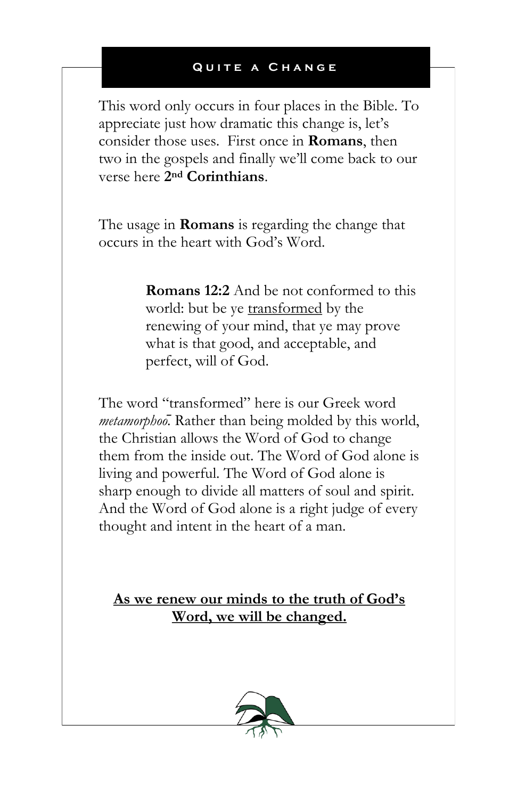This word only occurs in four places in the Bible. To appreciate just how dramatic this change is, let's consider those uses. First once in **Romans**, then two in the gospels and finally we'll come back to our verse here **2nd Corinthians**.

The usage in **Romans** is regarding the change that occurs in the heart with God's Word.

> **Romans 12:2** And be not conformed to this world: but be ye transformed by the renewing of your mind, that ye may prove what is that good, and acceptable, and perfect, will of God.

The word "transformed" here is our Greek word *metamorphoō.* Rather than being molded by this world, the Christian allows the Word of God to change them from the inside out. The Word of God alone is living and powerful. The Word of God alone is sharp enough to divide all matters of soul and spirit. And the Word of God alone is a right judge of every thought and intent in the heart of a man.

**As we renew our minds to the truth of God's Word, we will be changed.**

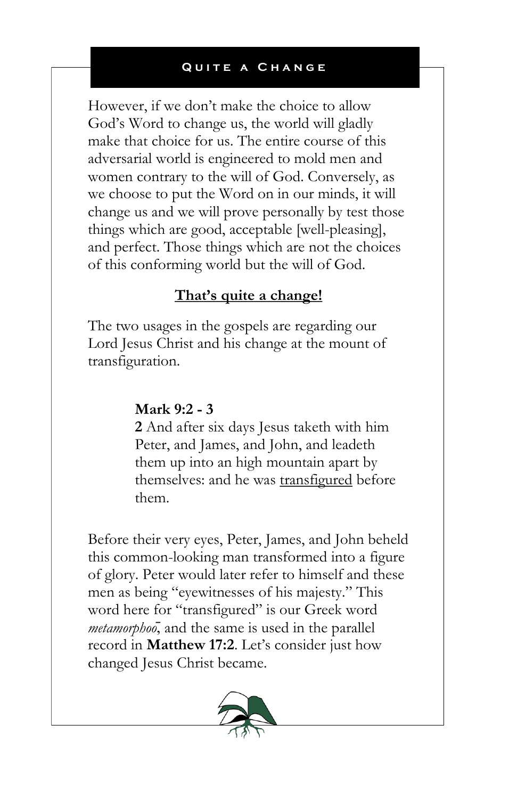However, if we don't make the choice to allow God's Word to change us, the world will gladly make that choice for us. The entire course of this adversarial world is engineered to mold men and women contrary to the will of God. Conversely, as we choose to put the Word on in our minds, it will change us and we will prove personally by test those things which are good, acceptable [well-pleasing], and perfect. Those things which are not the choices of this conforming world but the will of God.

## **That's quite a change!**

The two usages in the gospels are regarding our Lord Jesus Christ and his change at the mount of transfiguration.

## **Mark 9:2 - 3**

**2** And after six days Jesus taketh with him Peter, and James, and John, and leadeth them up into an high mountain apart by themselves: and he was transfigured before them.

Before their very eyes, Peter, James, and John beheld this common-looking man transformed into a figure of glory. Peter would later refer to himself and these men as being "eyewitnesses of his majesty." This word here for "transfigured" is our Greek word *metamorphoō*, and the same is used in the parallel record in **Matthew 17:2**. Let's consider just how changed Jesus Christ became.

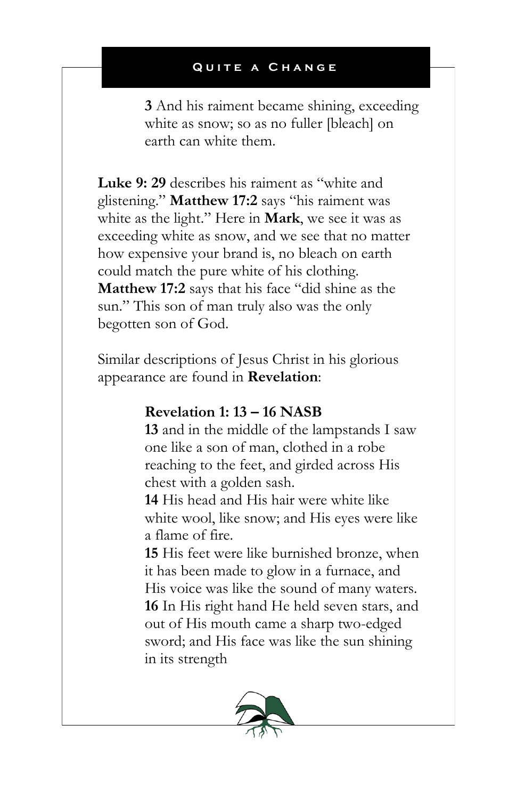**3** And his raiment became shining, exceeding white as snow; so as no fuller [bleach] on earth can white them.

**Luke 9: 29** describes his raiment as "white and glistening." **Matthew 17:2** says "his raiment was white as the light." Here in **Mark**, we see it was as exceeding white as snow, and we see that no matter how expensive your brand is, no bleach on earth could match the pure white of his clothing. **Matthew 17:2** says that his face "did shine as the sun." This son of man truly also was the only begotten son of God.

Similar descriptions of Jesus Christ in his glorious appearance are found in **Revelation**:

## **Revelation 1: 13 – 16 NASB**

**13** and in the middle of the lampstands I saw one like a son of man, clothed in a robe reaching to the feet, and girded across His chest with a golden sash.

**14** His head and His hair were white like white wool, like snow; and His eyes were like a flame of fire.

**15** His feet were like burnished bronze, when it has been made to glow in a furnace, and His voice was like the sound of many waters. **16** In His right hand He held seven stars, and out of His mouth came a sharp two-edged sword; and His face was like the sun shining in its strength

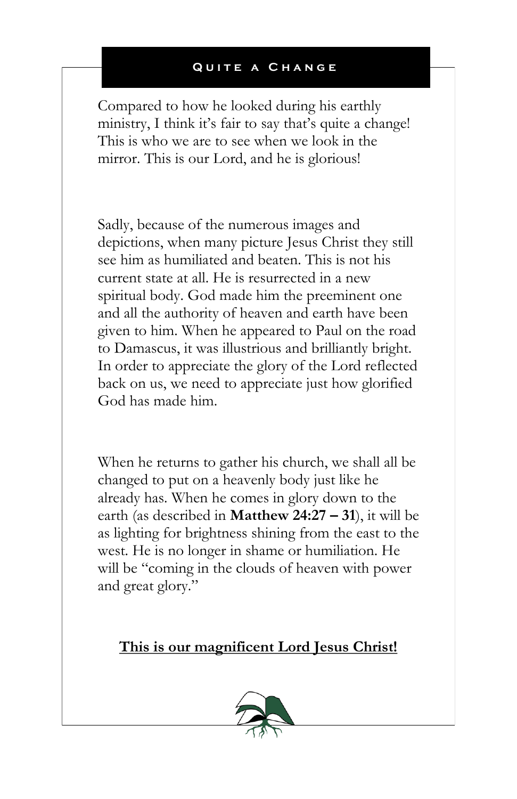Compared to how he looked during his earthly ministry, I think it's fair to say that's quite a change! This is who we are to see when we look in the mirror. This is our Lord, and he is glorious!

Sadly, because of the numerous images and depictions, when many picture Jesus Christ they still see him as humiliated and beaten. This is not his current state at all. He is resurrected in a new spiritual body. God made him the preeminent one and all the authority of heaven and earth have been given to him. When he appeared to Paul on the road to Damascus, it was illustrious and brilliantly bright. In order to appreciate the glory of the Lord reflected back on us, we need to appreciate just how glorified God has made him.

When he returns to gather his church, we shall all be changed to put on a heavenly body just like he already has. When he comes in glory down to the earth (as described in **Matthew 24:27 – 31**), it will be as lighting for brightness shining from the east to the west. He is no longer in shame or humiliation. He will be "coming in the clouds of heaven with power and great glory."

## **This is our magnificent Lord Jesus Christ!**

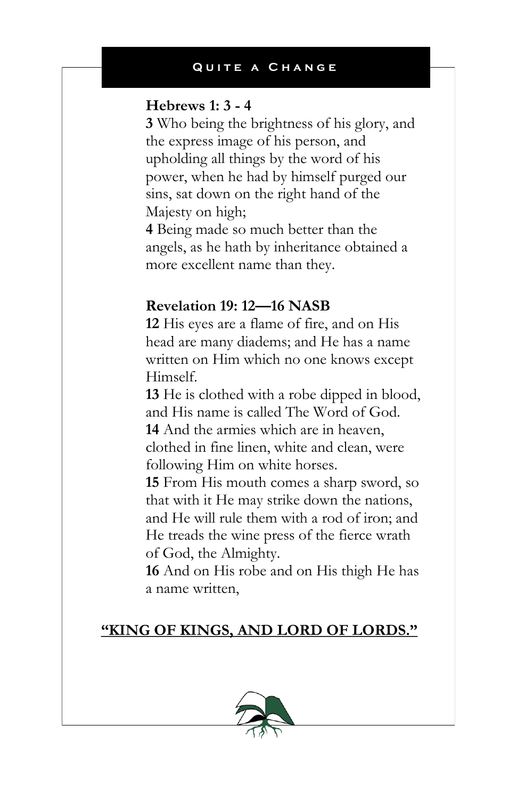#### **Hebrews 1: 3 - 4**

**3** Who being the brightness of his glory, and the express image of his person, and upholding all things by the word of his power, when he had by himself purged our sins, sat down on the right hand of the Majesty on high;

**4** Being made so much better than the angels, as he hath by inheritance obtained a more excellent name than they.

## **Revelation 19: 12—16 NASB**

**12** His eyes are a flame of fire, and on His head are many diadems; and He has a name written on Him which no one knows except Himself.

**13** He is clothed with a robe dipped in blood, and His name is called The Word of God. **14** And the armies which are in heaven, clothed in fine linen, white and clean, were following Him on white horses.

**15** From His mouth comes a sharp sword, so that with it He may strike down the nations, and He will rule them with a rod of iron; and He treads the wine press of the fierce wrath of God, the Almighty.

**16** And on His robe and on His thigh He has a name written,

## **"KING OF KINGS, AND LORD OF LORDS."**

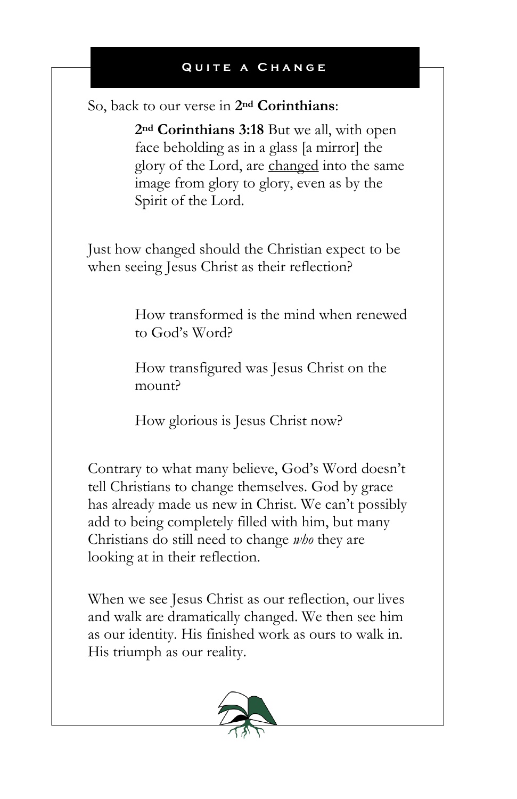So, back to our verse in **2nd Corinthians**:

**2nd Corinthians 3:18** But we all, with open face beholding as in a glass [a mirror] the glory of the Lord, are changed into the same image from glory to glory, even as by the Spirit of the Lord.

Just how changed should the Christian expect to be when seeing Jesus Christ as their reflection?

> How transformed is the mind when renewed to God's Word?

How transfigured was Jesus Christ on the mount?

How glorious is Jesus Christ now?

Contrary to what many believe, God's Word doesn't tell Christians to change themselves. God by grace has already made us new in Christ. We can't possibly add to being completely filled with him, but many Christians do still need to change *who* they are looking at in their reflection.

When we see Jesus Christ as our reflection, our lives and walk are dramatically changed. We then see him as our identity. His finished work as ours to walk in. His triumph as our reality.

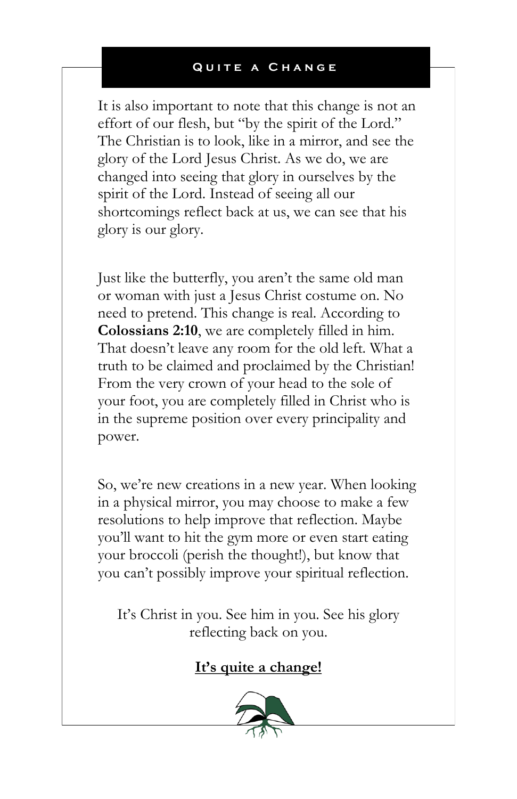It is also important to note that this change is not an effort of our flesh, but "by the spirit of the Lord." The Christian is to look, like in a mirror, and see the glory of the Lord Jesus Christ. As we do, we are changed into seeing that glory in ourselves by the spirit of the Lord. Instead of seeing all our shortcomings reflect back at us, we can see that his glory is our glory.

Just like the butterfly, you aren't the same old man or woman with just a Jesus Christ costume on. No need to pretend. This change is real. According to **Colossians 2:10**, we are completely filled in him. That doesn't leave any room for the old left. What a truth to be claimed and proclaimed by the Christian! From the very crown of your head to the sole of your foot, you are completely filled in Christ who is in the supreme position over every principality and power.

So, we're new creations in a new year. When looking in a physical mirror, you may choose to make a few resolutions to help improve that reflection. Maybe you'll want to hit the gym more or even start eating your broccoli (perish the thought!), but know that you can't possibly improve your spiritual reflection.

It's Christ in you. See him in you. See his glory reflecting back on you.

## **It's quite a change!**

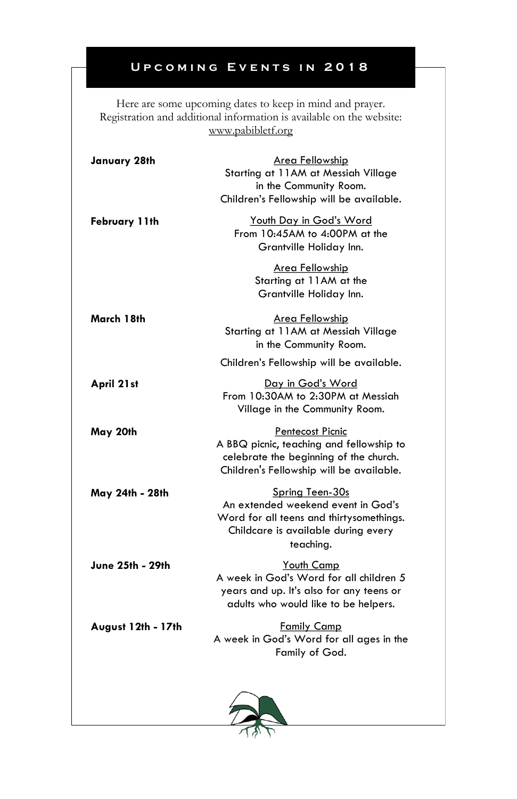## **UPCOMING EVENTS IN 2018**

Here are some upcoming dates to keep in mind and prayer. Registration and additional information is available on the website: www.pabibletf.org

| January 28th       | Area Fellowship<br>Starting at 11AM at Messiah Village<br>in the Community Room.<br>Children's Fellowship will be available.                          |
|--------------------|-------------------------------------------------------------------------------------------------------------------------------------------------------|
| February 11th      | Youth Day in God's Word<br>From 10:45AM to 4:00PM at the<br>Grantville Holiday Inn.                                                                   |
|                    | Area Fellowship<br>Starting at 11AM at the<br>Grantville Holiday Inn.                                                                                 |
| March 18th         | Area Fellowship<br>Starting at 11AM at Messiah Village<br>in the Community Room.                                                                      |
|                    | Children's Fellowship will be available.                                                                                                              |
| April 21st         | Day in God's Word<br>From 10:30AM to 2:30PM at Messiah<br>Village in the Community Room.                                                              |
| May 20th           | Pentecost Picnic<br>A BBQ picnic, teaching and fellowship to<br>celebrate the beginning of the church.<br>Children's Fellowship will be available.    |
| May 24th - 28th    | Spring Teen-30s<br>An extended weekend event in God's<br>Word for all teens and thirtysomethings.<br>Childcare is available during every<br>teaching. |
| June 25th - 29th   | Youth Camp<br>A week in God's Word for all children 5<br>years and up. It's also for any teens or<br>adults who would like to be helpers.             |
| August 12th - 17th | <b>Family Camp</b><br>A week in God's Word for all ages in the<br>Family of God.                                                                      |